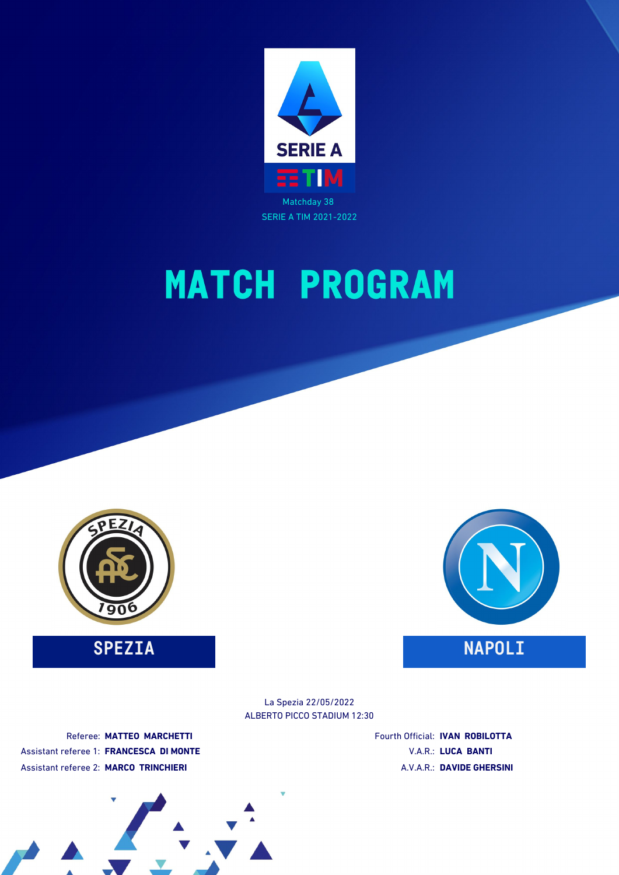

# **MATCH PROGRAM**



**SPEZIA NAPOLI** 



ALBERTO PICCO STADIUM 12:30 La Spezia 22/05/2022

Referee: **MATTEO MARCHETTI** Assistant referee 1: **FRANCESCA DI MONTE** Assistant referee 2: **MARCO TRINCHIERI**

Fourth Official: **IVAN ROBILOTTA** V.A.R.: **LUCA BANTI** A.V.A.R.: **DAVIDE GHERSINI**

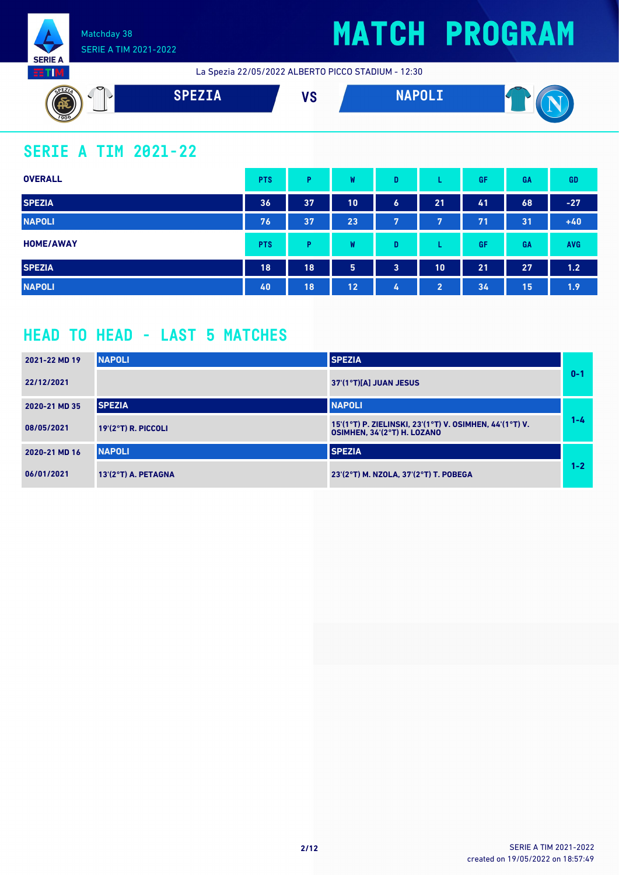

## **MATCH PROGRAM**

La Spezia 22/05/2022 ALBERTO PICCO STADIUM - 12:30



## **SERIE A TIM 2021-22**

| <b>OVERALL</b>   | <b>PTS</b> | Þ  | W  | D                       |                | <b>GF</b> | GA | GD         |
|------------------|------------|----|----|-------------------------|----------------|-----------|----|------------|
| <b>SPEZIA</b>    | 36         | 37 | 10 | $\ddot{\phantom{a}}$    | 21             | 41        | 68 | $-27$      |
| <b>NAPOLI</b>    | 76         | 37 | 23 | 7                       | 7              | 71        | 31 | $+40$      |
| <b>HOME/AWAY</b> | <b>PTS</b> | Þ  | W  | D                       |                | <b>GF</b> | GA | <b>AVG</b> |
| <b>SPEZIA</b>    | 18         | 18 | 5  | $\overline{\mathbf{3}}$ | 10             | 21        | 27 | 1.2        |
| <b>NAPOLI</b>    | 40         | 18 | 12 | 4                       | $\overline{2}$ | 34        | 15 | 1.9        |

### **HEAD TO HEAD - LAST 5 MATCHES**

| 2021-22 MD 19 | <b>NAPOLI</b>         | <b>SPEZIA</b>                                                                          |         |
|---------------|-----------------------|----------------------------------------------------------------------------------------|---------|
| 22/12/2021    |                       | 37'(1°T)[A] JUAN JESUS                                                                 | $0 - 1$ |
| 2020-21 MD 35 | <b>SPEZIA</b>         | <b>NAPOLI</b>                                                                          |         |
| 08/05/2021    | $19'(2°T)$ R. PICCOLI | 15'(1°T) P. ZIELINSKI, 23'(1°T) V. OSIMHEN, 44'(1°T) V.<br>OSIMHEN, 34'(2°T) H. LOZANO | $1 - 4$ |
| 2020-21 MD 16 | <b>NAPOLI</b>         | <b>SPEZIA</b>                                                                          |         |
| 06/01/2021    | 13'(2°T) A. PETAGNA   | 23'(2°T) M. NZOLA, 37'(2°T) T. POBEGA                                                  | $1 - 2$ |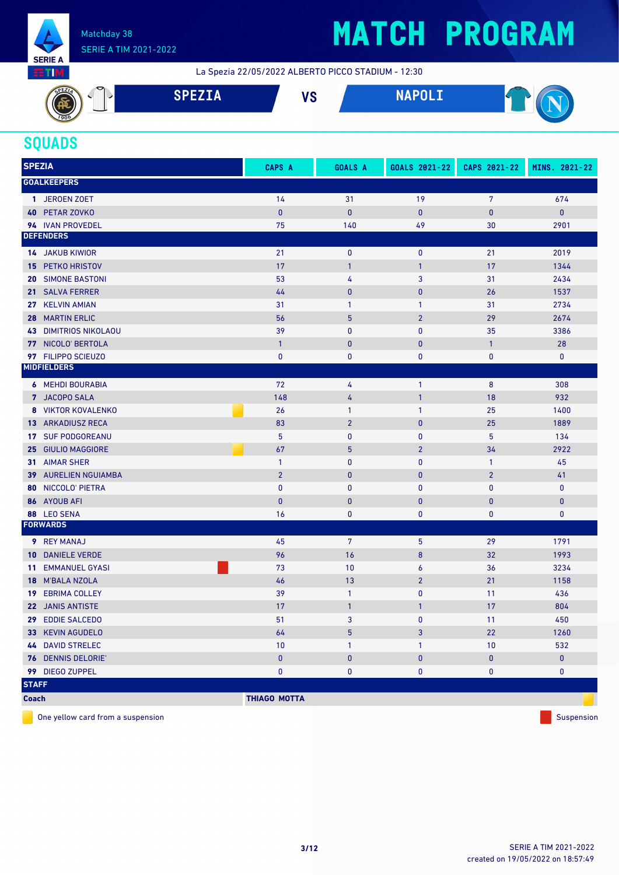

# **MATCH PROGRAM**

La Spezia 22/05/2022 ALBERTO PICCO STADIUM - 12:30



### **SQUADS**

| <b>SPEZIA</b>   |                           | CAPS A              | <b>GOALS A</b>  | GOALS 2021-22  | CAPS 2021-22   | MINS. 2021-22 |
|-----------------|---------------------------|---------------------|-----------------|----------------|----------------|---------------|
|                 | <b>GOALKEEPERS</b>        |                     |                 |                |                |               |
|                 | 1 JEROEN ZOET             | 14                  | 31              | 19             | $\overline{7}$ | 674           |
| 40              | PETAR ZOVKO               | $\pmb{0}$           | $\pmb{0}$       | $\pmb{0}$      | $\bf{0}$       | $\pmb{0}$     |
|                 | 94 IVAN PROVEDEL          | 75                  | 140             | 49             | 30             | 2901          |
|                 | <b>DEFENDERS</b>          |                     |                 |                |                |               |
|                 | <b>14 JAKUB KIWIOR</b>    | 21                  | $\pmb{0}$       | $\pmb{0}$      | 21             | 2019          |
|                 | <b>15 PETKO HRISTOV</b>   | 17                  | $\mathbf{1}$    | $\mathbf{1}$   | 17             | 1344          |
| 20              | <b>SIMONE BASTONI</b>     | 53                  | 4               | 3              | 31             | 2434          |
| 21 <sup>1</sup> | <b>SALVA FERRER</b>       | 44                  | $\mathbf{0}$    | $\bf{0}$       | 26             | 1537          |
|                 | 27 KELVIN AMIAN           | 31                  | $\mathbf{1}$    | 1              | 31             | 2734          |
| 28              | <b>MARTIN ERLIC</b>       | 56                  | $5\phantom{.0}$ | $\overline{2}$ | 29             | 2674          |
| 43              | <b>DIMITRIOS NIKOLAOU</b> | 39                  | $\mathbf{0}$    | 0              | 35             | 3386          |
|                 | 77 NICOLO' BERTOLA        | $\mathbf{1}$        | $\pmb{0}$       | $\bf{0}$       | $\mathbf{1}$   | 28            |
|                 | 97 FILIPPO SCIEUZO        | 0                   | $\pmb{0}$       | 0              | 0              | 0             |
|                 | <b>MIDFIELDERS</b>        |                     |                 |                |                |               |
|                 | <b>6 MEHDI BOURABIA</b>   | 72                  | 4               | $\mathbf{1}$   | 8              | 308           |
|                 | 7 JACOPO SALA             | 148                 | 4               | $\mathbf{1}$   | 18             | 932           |
|                 | 8 VIKTOR KOVALENKO        | 26                  | $\mathbf{1}$    | 1              | 25             | 1400          |
| 13 <sup>°</sup> | <b>ARKADIUSZ RECA</b>     | 83                  | $\overline{2}$  | $\pmb{0}$      | 25             | 1889          |
|                 | 17 SUF PODGOREANU         | 5                   | $\pmb{0}$       | 0              | 5              | 134           |
|                 | 25 GIULIO MAGGIORE        | 67                  | $\overline{5}$  | $\overline{2}$ | 34             | 2922          |
|                 | 31 AIMAR SHER             | $\mathbf{1}$        | $\pmb{0}$       | 0              | $\mathbf{1}$   | 45            |
|                 | 39 AURELIEN NGUIAMBA      | $\overline{2}$      | $\mathbf{0}$    | $\mathbf 0$    | $\overline{2}$ | 41            |
| 80              | NICCOLO' PIETRA           | $\pmb{0}$           | $\pmb{0}$       | $\pmb{0}$      | $\pmb{0}$      | $\mathbf 0$   |
| 86              | <b>AYOUB AFI</b>          | $\mathbf{0}$        | $\mathbf{0}$    | $\bf{0}$       | 0              | $\bf{0}$      |
|                 | 88 LEO SENA               | 16                  | $\bf{0}$        | 0              | 0              | 0             |
|                 | <b>FORWARDS</b>           |                     |                 |                |                |               |
|                 | <b>9</b> REY MANAJ        | 45                  | 7               | 5              | 29             | 1791          |
| 10              | <b>DANIELE VERDE</b>      | 96                  | 16              | 8              | 32             | 1993          |
| 11              | <b>EMMANUEL GYASI</b>     | 73                  | 10              | 6              | 36             | 3234          |
|                 | 18 M'BALA NZOLA           | 46                  | 13              | $\overline{2}$ | 21             | 1158          |
| 19.             | <b>EBRIMA COLLEY</b>      | 39                  | $\mathbf{1}$    | 0              | 11             | 436           |
|                 | 22 JANIS ANTISTE          | 17                  | $\mathbf{1}$    | 1              | 17             | 804           |
|                 | 29 EDDIE SALCEDO          | 51                  | 3               | 0              | 11             | 450           |
|                 | 33 KEVIN AGUDELO          | 64                  | 5               | 3              | 22             | 1260          |
|                 | <b>44 DAVID STRELEC</b>   | $10$                | $\mathbf{1}$    | 1              | 10             | 532           |
|                 | 76 DENNIS DELORIE'        | $\pmb{0}$           | $\pmb{0}$       | $\pmb{0}$      | 0              | $\pmb{0}$     |
|                 | 99 DIEGO ZUPPEL           | $\pmb{0}$           | $\pmb{0}$       | 0              | 0              | 0             |
| <b>STAFF</b>    |                           |                     |                 |                |                |               |
| <b>Coach</b>    |                           | <b>THIAGO MOTTA</b> |                 |                |                |               |

One yellow card from a suspension suspension subset of the suspension suspension subset of the suspension suspension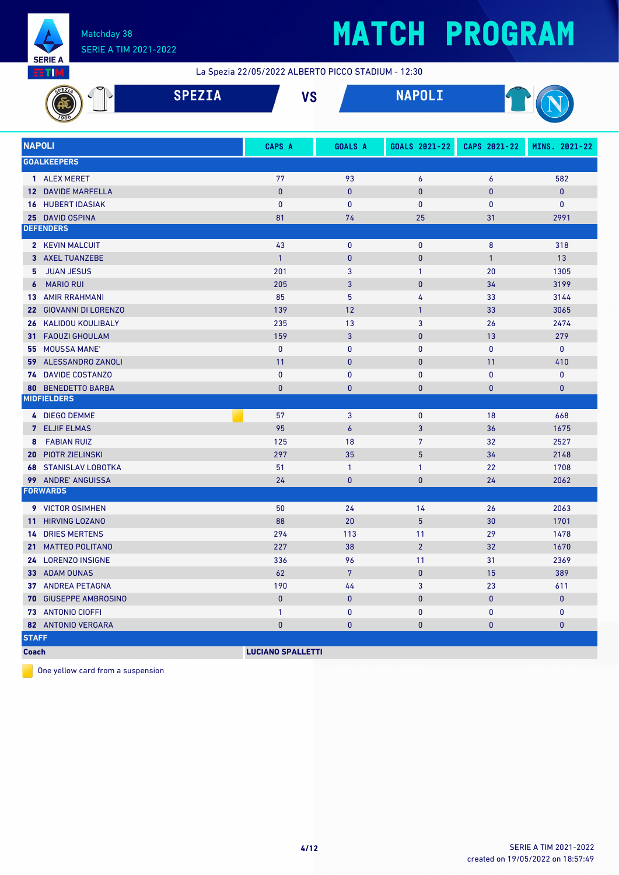

# **MATCH PROGRAM**

La Spezia 22/05/2022 ALBERTO PICCO STADIUM - 12:30

|               |                                              | <b>SPEZIA</b> | <b>VS</b>                |                  | <b>NAPOLI</b>     |              |               |  |
|---------------|----------------------------------------------|---------------|--------------------------|------------------|-------------------|--------------|---------------|--|
| <b>NAPOLI</b> |                                              |               | CAPS A                   | <b>GOALS A</b>   | GOALS 2021-22     | CAPS 2021-22 | MINS. 2021-22 |  |
|               | <b>GOALKEEPERS</b>                           |               |                          |                  |                   |              |               |  |
|               | 1 ALEX MERET                                 |               | 77                       | 93               | 6                 | 6            | 582           |  |
| $12-12$       | <b>DAVIDE MARFELLA</b>                       |               | $\mathbf{0}$             | $\pmb{0}$        | $\mathbf{0}$      | 0            | $\pmb{0}$     |  |
| 16            | <b>HUBERT IDASIAK</b>                        |               | $\mathbf{0}$             | 0                | $\mathbf 0$       | 0            | 0             |  |
|               | 25 DAVID OSPINA                              |               | 81                       | 74               | 25                | 31           | 2991          |  |
|               | <b>DEFENDERS</b>                             |               |                          |                  |                   |              |               |  |
|               | 2 KEVIN MALCUIT                              |               | 43                       | $\bf{0}$         | $\mathbf 0$       | 8            | 318           |  |
| 3             | <b>AXEL TUANZEBE</b>                         |               | $\mathbf{1}$             | $\mathbf{0}$     | $\mathbf{0}$      | $\mathbf{1}$ | 13            |  |
| 5             | <b>JUAN JESUS</b>                            |               | 201                      | $\overline{3}$   | $\mathbf{1}$      | 20           | 1305          |  |
| 6             | <b>MARIO RUI</b>                             |               | 205                      | 3                | $\mathbf{0}$      | 34           | 3199          |  |
| 13            | <b>AMIR RRAHMANI</b>                         |               | 85                       | 5                | 4                 | 33           | 3144          |  |
| 22            | <b>GIOVANNI DI LORENZO</b>                   |               | 139                      | 12               | $\mathbf{1}$      | 33           | 3065          |  |
| 26            | KALIDOU KOULIBALY                            |               | 235                      | 13               | 3                 | 26           | 2474          |  |
| 31            | <b>FAOUZI GHOULAM</b>                        |               | 159                      | 3                | $\mathbf{0}$      | 13           | 279           |  |
| 55            | <b>MOUSSA MANE</b>                           |               | $\mathbf{0}$             | $\mathbf{0}$     | $\mathbf 0$       | 0            | $\pmb{0}$     |  |
| 59            | ALESSANDRO ZANOLI                            |               | 11                       | $\mathbf{0}$     | $\mathbf{0}$      | 11           | 410           |  |
| 74            | <b>DAVIDE COSTANZO</b>                       |               | $\mathbf{0}$             | $\mathbf{0}$     | $\mathbf 0$       | 0            | 0             |  |
| 80            | <b>BENEDETTO BARBA</b><br><b>MIDFIELDERS</b> |               | $\mathbf{0}$             | $\mathbf{0}$     | $\mathbf{0}$      | 0            | $\pmb{0}$     |  |
|               |                                              |               |                          |                  |                   |              |               |  |
|               | 4 DIEGO DEMME                                |               | 57                       | 3                | $\mathbf 0$       | 18           | 668           |  |
|               | 7 ELJIF ELMAS                                |               | 95                       | $\boldsymbol{6}$ | 3                 | 36           | 1675          |  |
| 8             | <b>FABIAN RUIZ</b>                           |               | 125                      | 18               | $7\overline{ }$   | 32           | 2527          |  |
| 20            | <b>PIOTR ZIELINSKI</b>                       |               | 297                      | 35               | 5                 | 34           | 2148          |  |
| 68            | <b>STANISLAV LOBOTKA</b>                     |               | 51                       | $\mathbf{1}$     | 1                 | 22           | 1708          |  |
| 99            | <b>ANDRE' ANGUISSA</b><br><b>FORWARDS</b>    |               | 24                       | $\bf{0}$         | $\mathbf{0}$      | 24           | 2062          |  |
|               |                                              |               |                          |                  |                   |              |               |  |
|               | 9 VICTOR OSIMHEN                             |               | 50                       | 24               | 14                | 26           | 2063          |  |
| 11.           | <b>HIRVING LOZANO</b>                        |               | 88                       | 20               | 5                 | 30           | 1701          |  |
|               | <b>14 DRIES MERTENS</b>                      |               | 294                      | 113              | 11                | 29           | 1478          |  |
|               | 21 MATTEO POLITANO<br>24 LORENZO INSIGNE     |               | 227<br>336               | 38<br>96         | $\overline{2}$    | 32<br>31     | 1670<br>2369  |  |
|               | 33 ADAM OUNAS                                |               | 62                       | $7\overline{ }$  | 11<br>$\mathbf 0$ | 15           | 389           |  |
|               | 37 ANDREA PETAGNA                            |               | 190                      | 44               | 3                 | 23           | 611           |  |
|               | 70 GIUSEPPE AMBROSINO                        |               | $\mathbf{0}$             | $\pmb{0}$        | $\bf{0}$          | $\pmb{0}$    | $\mathbf{0}$  |  |
|               | 73 ANTONIO CIOFFI                            |               | $\mathbf{1}$             | 0                | 0                 | 0            | 0             |  |
|               | 82 ANTONIO VERGARA                           |               | $\mathbf{0}$             | $\pmb{0}$        | $\mathbf{0}$      | 0            | $\mathbf{0}$  |  |
| <b>STAFF</b>  |                                              |               |                          |                  |                   |              |               |  |
| <b>Coach</b>  |                                              |               | <b>LUCIANO SPALLETTI</b> |                  |                   |              |               |  |

One yellow card from a suspension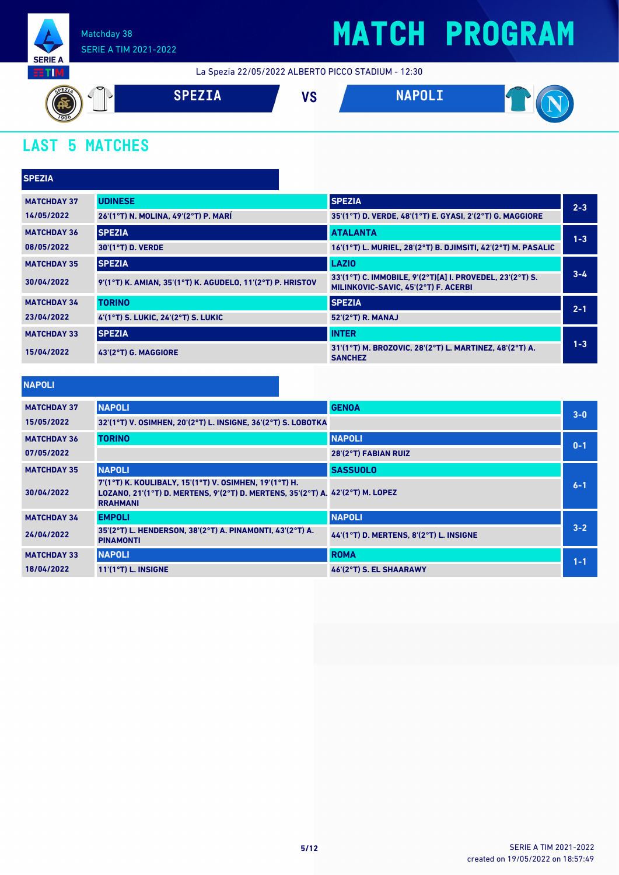

## **MATCH PROGRAM**

La Spezia 22/05/2022 ALBERTO PICCO STADIUM - 12:30



## **LAST 5 MATCHES**

| <b>SPEZIA</b>      |                                                            |                                                                                                   |         |
|--------------------|------------------------------------------------------------|---------------------------------------------------------------------------------------------------|---------|
| <b>MATCHDAY 37</b> | <b>UDINESE</b>                                             | <b>SPEZIA</b>                                                                                     | $2 - 3$ |
| 14/05/2022         | 26'(1°T) N. MOLINA, 49'(2°T) P. MARÍ                       | 35'(1°T) D. VERDE, 48'(1°T) E. GYASI, 2'(2°T) G. MAGGIORE                                         |         |
| <b>MATCHDAY 36</b> | <b>SPEZIA</b>                                              | <b>ATALANTA</b>                                                                                   | $1 - 3$ |
| 08/05/2022         | 30'(1°T) D. VERDE                                          | 16'(1°T) L. MURIEL, 28'(2°T) B. DJIMSITI, 42'(2°T) M. PASALIC                                     |         |
| <b>MATCHDAY 35</b> | <b>SPEZIA</b>                                              | <b>LAZIO</b>                                                                                      |         |
| 30/04/2022         | 9'(1°T) K. AMIAN, 35'(1°T) K. AGUDELO, 11'(2°T) P. HRISTOV | 33'(1°T) C. IMMOBILE, 9'(2°T)[A] I. PROVEDEL, 23'(2°T) S.<br>MILINKOVIC-SAVIC, 45'(2°T) F. ACERBI | $3 - 4$ |
| <b>MATCHDAY 34</b> | <b>TORINO</b>                                              | <b>SPEZIA</b>                                                                                     | $2 - 1$ |
| 23/04/2022         | 4'(1°T) S. LUKIC, 24'(2°T) S. LUKIC                        | 52'(2°T) R. MANAJ                                                                                 |         |
| <b>MATCHDAY 33</b> | <b>SPEZIA</b>                                              | <b>INTER</b>                                                                                      |         |
| 15/04/2022         | 43'(2°T) G. MAGGIORE                                       | 31'(1°T) M. BROZOVIC, 28'(2°T) L. MARTINEZ, 48'(2°T) A.<br><b>SANCHEZ</b>                         | $1 - 3$ |

| <b>Contract Contract Contract Contract Contract Contract Contract Contract Contract Contract Contract Contract Co</b><br><b>Service Service</b> | <b>Contract Contract Contract Contract Contract Contract Contract Contract Contract Contract Contract Contract Co</b> | $\mathcal{L}(\mathcal{L})$ and $\mathcal{L}(\mathcal{L})$ and $\mathcal{L}(\mathcal{L})$ and $\mathcal{L}(\mathcal{L})$ |  |
|-------------------------------------------------------------------------------------------------------------------------------------------------|-----------------------------------------------------------------------------------------------------------------------|-------------------------------------------------------------------------------------------------------------------------|--|
|                                                                                                                                                 |                                                                                                                       |                                                                                                                         |  |

| <b>MATCHDAY 37</b> | <b>NAPOLI</b>                                                                                                                                               | <b>GENOA</b>                            | $3 - 0$ |
|--------------------|-------------------------------------------------------------------------------------------------------------------------------------------------------------|-----------------------------------------|---------|
| 15/05/2022         | 32'(1°T) V. OSIMHEN, 20'(2°T) L. INSIGNE, 36'(2°T) S. LOBOTKA                                                                                               |                                         |         |
| <b>MATCHDAY 36</b> | <b>TORINO</b>                                                                                                                                               | <b>NAPOLI</b>                           | $0 - 1$ |
| 07/05/2022         |                                                                                                                                                             | 28'(2°T) FABIAN RUIZ                    |         |
| <b>MATCHDAY 35</b> | <b>NAPOLI</b>                                                                                                                                               | <b>SASSUOLO</b>                         |         |
| 30/04/2022         | 7'(1°T) K. KOULIBALY, 15'(1°T) V. OSIMHEN, 19'(1°T) H.<br>LOZANO, 21'(1°T) D. MERTENS, 9'(2°T) D. MERTENS, 35'(2°T) A. 42'(2°T) M. LOPEZ<br><b>RRAHMANI</b> |                                         | $6 - 1$ |
| <b>MATCHDAY 34</b> | <b>EMPOLI</b>                                                                                                                                               | <b>NAPOLI</b>                           |         |
| 24/04/2022         | 35'(2°T) L. HENDERSON, 38'(2°T) A. PINAMONTI, 43'(2°T) A.<br><b>PINAMONTI</b>                                                                               | 44'(1°T) D. MERTENS, 8'(2°T) L. INSIGNE | $3 - 2$ |
| <b>MATCHDAY 33</b> | <b>NAPOLI</b>                                                                                                                                               | <b>ROMA</b>                             | $1 - 1$ |
| 18/04/2022         | $11'(1°T)$ L. INSIGNE                                                                                                                                       | 46'(2°T) S. EL SHAARAWY                 |         |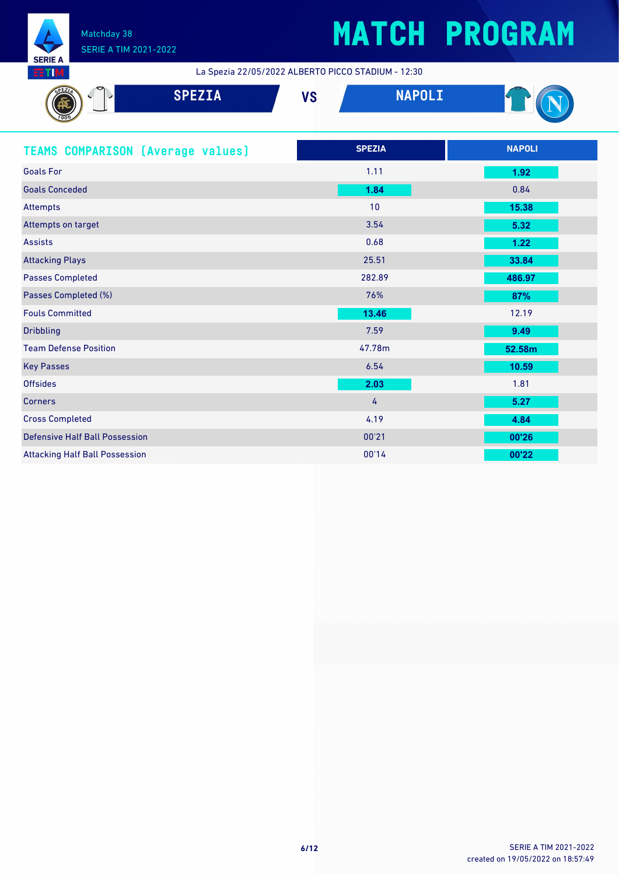

## **MATCH PROGRAM**

La Spezia 22/05/2022 ALBERTO PICCO STADIUM - 12:30

| <b>SPEZIA</b>                            | <b>NAPOLI</b><br><b>VS</b> |               |
|------------------------------------------|----------------------------|---------------|
| <b>TEAMS COMPARISON (Average values)</b> | <b>SPEZIA</b>              | <b>NAPOLI</b> |
| <b>Goals For</b>                         | 1.11                       | 1.92          |
| <b>Goals Conceded</b>                    | 1.84                       | 0.84          |
| Attempts                                 | 10                         | 15.38         |
| Attempts on target                       | 3.54                       | 5.32          |
| <b>Assists</b>                           | 0.68                       | 1.22          |
| <b>Attacking Plays</b>                   | 25.51                      | 33.84         |
| <b>Passes Completed</b>                  | 282.89                     | 486.97        |

| Passes Completed (%)         | 76%    | 87%    |
|------------------------------|--------|--------|
| <b>Fouls Committed</b>       | 13.46  | 12.19  |
| <b>Dribbling</b>             | 7.59   | 9.49   |
| <b>Team Defense Position</b> | 47.78m | 52.58m |
| <b>Key Passes</b>            | 6.54   | 10.59  |
| <b>Offsides</b>              | 2.03   | 1.81   |
| <b>Corners</b>               | 4      | 5.27   |
| <b>Cross Completed</b>       | 4.19   | 4.84   |

Defensive Half Ball Possession 00'21 **00'26** Attacking Half Ball Possession 00'14 **00'22**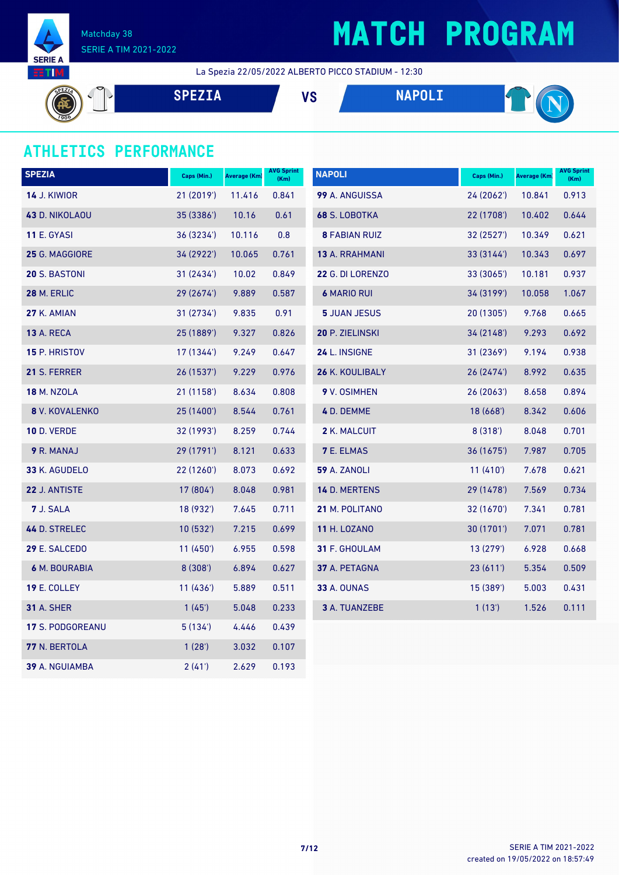

# **MATCH PROGRAM**

La Spezia 22/05/2022 ALBERTO PICCO STADIUM - 12:30

**SPEZIA VS NAPOLI**  $\mathbb{T}$ 

#### **ATHLETICS PERFORMANCE**

| <b>SPEZIA</b>           | Caps (Min.) | Average (Km) | <b>AVG Sprint</b><br>(Km) | <b>NAPOLI</b>          | Caps (Min.) | Average (Km) | <b>AVG Sprint</b><br>(Km) |
|-------------------------|-------------|--------------|---------------------------|------------------------|-------------|--------------|---------------------------|
| <b>14 J. KIWIOR</b>     | 21 (2019')  | 11.416       | 0.841                     | 99 A. ANGUISSA         | 24 (2062')  | 10.841       | 0.913                     |
| <b>43 D. NIKOLAOU</b>   | 35 (3386')  | 10.16        | 0.61                      | <b>68 S. LOBOTKA</b>   | 22 (1708')  | 10.402       | 0.644                     |
| <b>11 E. GYASI</b>      | 36 (3234')  | 10.116       | 0.8                       | <b>8 FABIAN RUIZ</b>   | 32(2527)    | 10.349       | 0.621                     |
| 25 G. MAGGIORE          | 34 (2922')  | 10.065       | 0.761                     | 13 A. RRAHMANI         | 33 (3144')  | 10.343       | 0.697                     |
| <b>20 S. BASTONI</b>    | 31 (2434')  | 10.02        | 0.849                     | 22 G. DI LORENZO       | 33 (3065')  | 10.181       | 0.937                     |
| <b>28 M. ERLIC</b>      | 29 (2674')  | 9.889        | 0.587                     | <b>6 MARIO RUI</b>     | 34 (3199')  | 10.058       | 1.067                     |
| 27 K. AMIAN             | 31 (2734')  | 9.835        | 0.91                      | <b>5 JUAN JESUS</b>    | 20 (1305')  | 9.768        | 0.665                     |
| <b>13 A. RECA</b>       | 25 (1889')  | 9.327        | 0.826                     | 20 P. ZIELINSKI        | 34 (2148')  | 9.293        | 0.692                     |
| 15 P. HRISTOV           | 17 (1344')  | 9.249        | 0.647                     | 24 L. INSIGNE          | 31 (2369')  | 9.194        | 0.938                     |
| 21 S. FERRER            | 26 (1537')  | 9.229        | 0.976                     | <b>26 K. KOULIBALY</b> | 26 (2474')  | 8.992        | 0.635                     |
| <b>18 M. NZOLA</b>      | 21 (1158')  | 8.634        | 0.808                     | 9 V. OSIMHEN           | 26 (2063')  | 8.658        | 0.894                     |
| 8 V. KOVALENKO          | 25 (1400')  | 8.544        | 0.761                     | 4 D. DEMME             | 18 (668')   | 8.342        | 0.606                     |
| <b>10 D. VERDE</b>      | 32 (1993')  | 8.259        | 0.744                     | 2 K. MALCUIT           | 8(318)      | 8.048        | 0.701                     |
| 9 R. MANAJ              | 29 (1791')  | 8.121        | 0.633                     | <b>7 E. ELMAS</b>      | 36(1675)    | 7.987        | 0.705                     |
| 33 K. AGUDELO           | 22 (1260')  | 8.073        | 0.692                     | <b>59 A. ZANOLI</b>    | 11(410)     | 7.678        | 0.621                     |
| 22 J. ANTISTE           | 17 (804')   | 8.048        | 0.981                     | 14 D. MERTENS          | 29 (1478')  | 7.569        | 0.734                     |
| 7 J. SALA               | 18 (932')   | 7.645        | 0.711                     | 21 M. POLITANO         | 32 (1670')  | 7.341        | 0.781                     |
| 44 D. STRELEC           | 10(532)     | 7.215        | 0.699                     | <b>11 H. LOZANO</b>    | 30 (1701')  | 7.071        | 0.781                     |
| 29 E. SALCEDO           | 11(450)     | 6.955        | 0.598                     | 31 F. GHOULAM          | 13(279)     | 6.928        | 0.668                     |
| 6 M. BOURABIA           | 8(308')     | 6.894        | 0.627                     | 37 A. PETAGNA          | 23(611)     | 5.354        | 0.509                     |
| 19 E. COLLEY            | 11(436)     | 5.889        | 0.511                     | <b>33 A. OUNAS</b>     | 15 (389')   | 5.003        | 0.431                     |
| <b>31 A. SHER</b>       | 1(45)       | 5.048        | 0.233                     | <b>3 A. TUANZEBE</b>   | 1(13')      | 1.526        | 0.111                     |
| <b>17 S. PODGOREANU</b> | 5 (134')    | 4.446        | 0.439                     |                        |             |              |                           |
| 77 N. BERTOLA           | 1(28)       | 3.032        | 0.107                     |                        |             |              |                           |
| <b>39</b> A. NGUIAMBA   | 2(41')      | 2.629        | 0.193                     |                        |             |              |                           |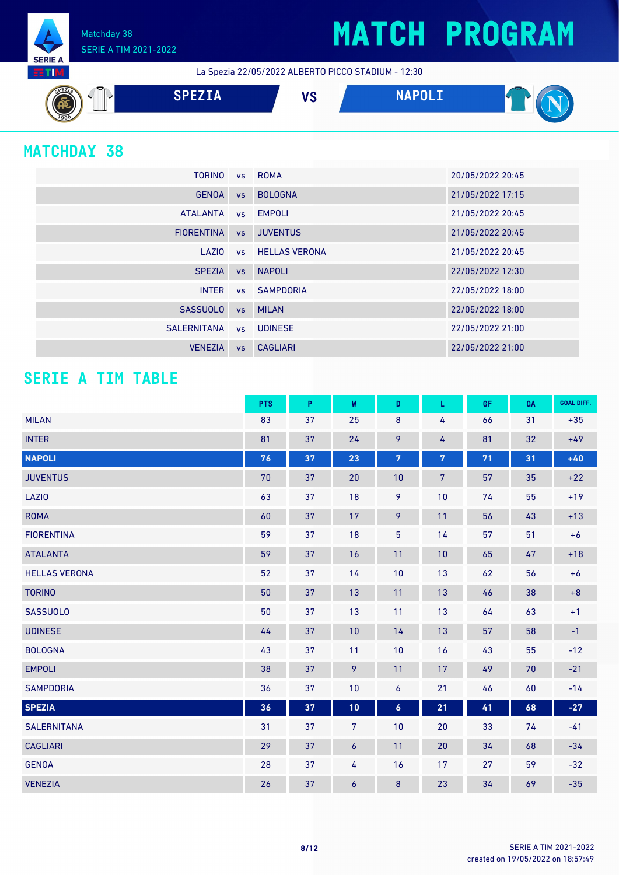## **MATCH PROGRAM**

La Spezia 22/05/2022 ALBERTO PICCO STADIUM - 12:30



#### **MATCHDAY 38**

**SERIE A RTM**  Matchday 38

SERIE A TIM 2021-2022

| <b>TORINO</b>     |           | vs ROMA                 | 20/05/2022 20:45 |
|-------------------|-----------|-------------------------|------------------|
| <b>GENOA</b>      | <b>VS</b> | <b>BOLOGNA</b>          | 21/05/2022 17:15 |
| <b>ATALANTA</b>   |           | vs EMPOLI               | 21/05/2022 20:45 |
| <b>FIORENTINA</b> | VS        | <b>JUVENTUS</b>         | 21/05/2022 20:45 |
| LAZIO             |           | <b>vs</b> HELLAS VERONA | 21/05/2022 20:45 |
| <b>SPEZIA</b>     | VS        | <b>NAPOLI</b>           | 22/05/2022 12:30 |
| <b>INTER</b>      |           | vs SAMPDORIA            | 22/05/2022 18:00 |
| <b>SASSUOLO</b>   | <b>VS</b> | MILAN                   | 22/05/2022 18:00 |
| SALERNITANA       |           | vs UDINESE              | 22/05/2022 21:00 |
| <b>VENEZIA</b>    | <b>VS</b> | <b>CAGLIARI</b>         | 22/05/2022 21:00 |

#### **SERIE A TIM TABLE**

|                      | <b>PTS</b> | P  | W                | D                | L              | GF. | GA | <b>GOAL DIFF.</b> |
|----------------------|------------|----|------------------|------------------|----------------|-----|----|-------------------|
| <b>MILAN</b>         | 83         | 37 | 25               | $\bf 8$          | 4              | 66  | 31 | $+35$             |
| <b>INTER</b>         | 81         | 37 | 24               | 9                | 4              | 81  | 32 | $+49$             |
| <b>NAPOLI</b>        | 76         | 37 | 23               | $\overline{7}$   | $\overline{7}$ | 71  | 31 | $+40$             |
| <b>JUVENTUS</b>      | 70         | 37 | 20               | 10               | $\overline{7}$ | 57  | 35 | $+22$             |
| LAZI0                | 63         | 37 | 18               | 9                | 10             | 74  | 55 | $+19$             |
| <b>ROMA</b>          | 60         | 37 | 17               | 9                | 11             | 56  | 43 | $+13$             |
| <b>FIORENTINA</b>    | 59         | 37 | 18               | 5                | 14             | 57  | 51 | $+6$              |
| <b>ATALANTA</b>      | 59         | 37 | 16               | 11               | 10             | 65  | 47 | $+18$             |
| <b>HELLAS VERONA</b> | 52         | 37 | 14               | 10               | 13             | 62  | 56 | $+6$              |
| <b>TORINO</b>        | 50         | 37 | 13               | 11               | 13             | 46  | 38 | $+8$              |
| <b>SASSUOLO</b>      | 50         | 37 | 13               | 11               | 13             | 64  | 63 | $+1$              |
| <b>UDINESE</b>       | 44         | 37 | 10               | 14               | 13             | 57  | 58 | $-1$              |
| <b>BOLOGNA</b>       | 43         | 37 | 11               | 10               | 16             | 43  | 55 | $-12$             |
| <b>EMPOLI</b>        | 38         | 37 | 9                | 11               | 17             | 49  | 70 | $-21$             |
| <b>SAMPDORIA</b>     | 36         | 37 | 10               | 6                | 21             | 46  | 60 | $-14$             |
| <b>SPEZIA</b>        | 36         | 37 | 10               | $\boldsymbol{6}$ | 21             | 41  | 68 | $-27$             |
| <b>SALERNITANA</b>   | 31         | 37 | $\overline{7}$   | 10               | 20             | 33  | 74 | $-41$             |
| <b>CAGLIARI</b>      | 29         | 37 | $\boldsymbol{6}$ | 11               | 20             | 34  | 68 | $-34$             |
| <b>GENOA</b>         | 28         | 37 | 4                | 16               | 17             | 27  | 59 | $-32$             |
| <b>VENEZIA</b>       | 26         | 37 | $\boldsymbol{6}$ | 8                | 23             | 34  | 69 | $-35$             |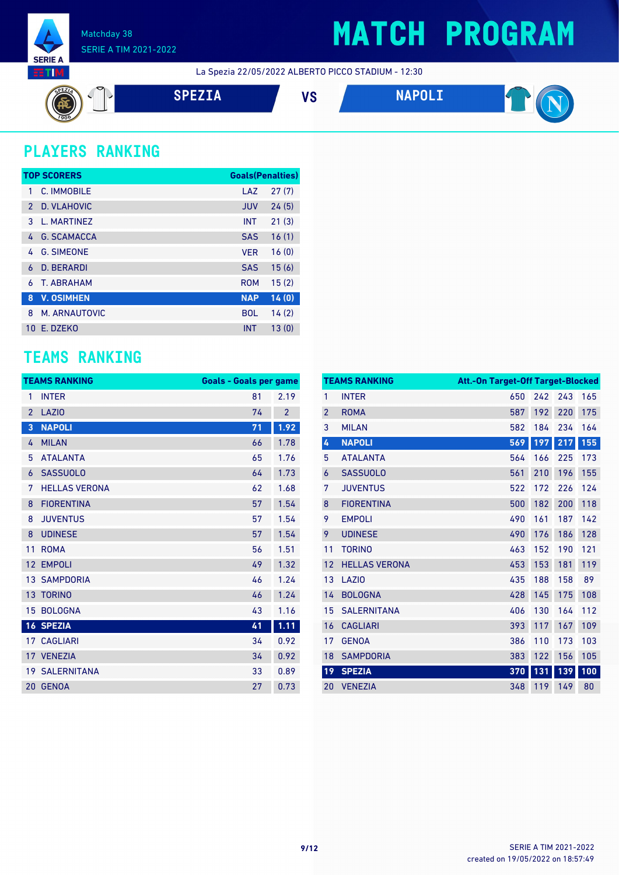

## **MATCH PROGRAM**

La Spezia 22/05/2022 ALBERTO PICCO STADIUM - 12:30



### **PLAYERS RANKING**

|               | <b>TOP SCORERS</b> | <b>Goals(Penalties)</b> |       |
|---------------|--------------------|-------------------------|-------|
| 1             | C. IMMOBILE        | LAZ                     | 27(7) |
| $\mathcal{P}$ | D. VLAHOVIC        | <b>JUV</b>              | 24(5) |
| 3             | L. MARTINEZ        | <b>INT</b>              | 21(3) |
| 4             | <b>G. SCAMACCA</b> | <b>SAS</b>              | 16(1) |
| 4             | <b>G. SIMEONE</b>  | <b>VER</b>              | 16(0) |
| 6             | <b>D. BERARDI</b>  | <b>SAS</b>              | 15(6) |
| 6             | <b>T. ABRAHAM</b>  | <b>ROM</b>              | 15(2) |
| 8             | <b>V. OSIMHEN</b>  | <b>NAP</b>              | 14(0) |
| 8             | M. ARNAUTOVIC      | <b>BOL</b>              | 14(2) |
| 10            | E. DZEKO           | <b>INT</b>              | 13(0) |

#### **TEAMS RANKING**

|                 | <b>TEAMS RANKING</b>  | <b>Goals - Goals per game</b> |                |
|-----------------|-----------------------|-------------------------------|----------------|
| 1               | <b>INTER</b>          | 81                            | 2.19           |
| $\overline{2}$  | LAZI <sub>0</sub>     | 74                            | $\overline{2}$ |
| 3               | <b>NAPOLI</b>         | 71                            | 1.92           |
| 4               | <b>MILAN</b>          | 66                            | 1.78           |
| 5               | <b>ATALANTA</b>       | 65                            | 1.76           |
| 6               | <b>SASSUOLO</b>       | 64                            | 1.73           |
| 7               | <b>HELLAS VERONA</b>  | 62                            | 1.68           |
| 8               | <b>FIORENTINA</b>     | 57                            | 1.54           |
| 8               | <b>JUVENTUS</b>       | 57                            | 1.54           |
| 8               | <b>UDINESE</b>        | 57                            | 1.54           |
| 11              | <b>ROMA</b>           | 56                            | 1.51           |
| 12              | <b>EMPOLI</b>         | 49                            | 1.32           |
| 13 <sup>1</sup> | <b>SAMPDORIA</b>      | 46                            | 1.24           |
|                 | 13 TORINO             | 46                            | 1.24           |
| 15              | <b>BOLOGNA</b>        | 43                            | 1.16           |
|                 | <b>16 SPEZIA</b>      | 41                            | 1.11           |
|                 | <b>17 CAGLIARI</b>    | 34                            | 0.92           |
|                 | 17 VENEZIA            | 34                            | 0.92           |
|                 | <b>19 SALERNITANA</b> | 33                            | 0.89           |
| 20              | <b>GENOA</b>          | 27                            | 0.73           |

|                | <b>TEAMS RANKING</b> | Att.-On Target-Off Target-Blocked |     |     |     |
|----------------|----------------------|-----------------------------------|-----|-----|-----|
| 1              | <b>INTER</b>         | 650                               | 242 | 243 | 165 |
| $\overline{2}$ | <b>ROMA</b>          | 587                               | 192 | 220 | 175 |
| 3              | <b>MILAN</b>         | 582                               | 184 | 234 | 164 |
| 4              | <b>NAPOLI</b>        | 569                               | 197 | 217 | 155 |
| 5              | <b>ATALANTA</b>      | 564                               | 166 | 225 | 173 |
| 6              | <b>SASSUOLO</b>      | 561                               | 210 | 196 | 155 |
| 7              | <b>JUVENTUS</b>      | 522                               | 172 | 226 | 124 |
| 8              | <b>FIORENTINA</b>    | 500                               | 182 | 200 | 118 |
| 9              | <b>EMPOLI</b>        | 490                               | 161 | 187 | 142 |
| 9              | <b>UDINESE</b>       | 490                               | 176 | 186 | 128 |
| 11             | <b>TORINO</b>        | 463                               | 152 | 190 | 121 |
| 12             | <b>HELLAS VERONA</b> | 453                               | 153 | 181 | 119 |
| 13             | LAZI <sub>0</sub>    | 435                               | 188 | 158 | 89  |
| 14             | <b>BOLOGNA</b>       | 428                               | 145 | 175 | 108 |
| 15             | <b>SALERNITANA</b>   | 406                               | 130 | 164 | 112 |
| 16             | <b>CAGLIARI</b>      | 393                               | 117 | 167 | 109 |
| 17             | <b>GENOA</b>         | 386                               | 110 | 173 | 103 |
| 18             | <b>SAMPDORIA</b>     | 383                               | 122 | 156 | 105 |
| 19             | <b>SPEZIA</b>        | 370                               | 131 | 139 | 100 |
| 20             | <b>VENEZIA</b>       | 348                               | 119 | 149 | 80  |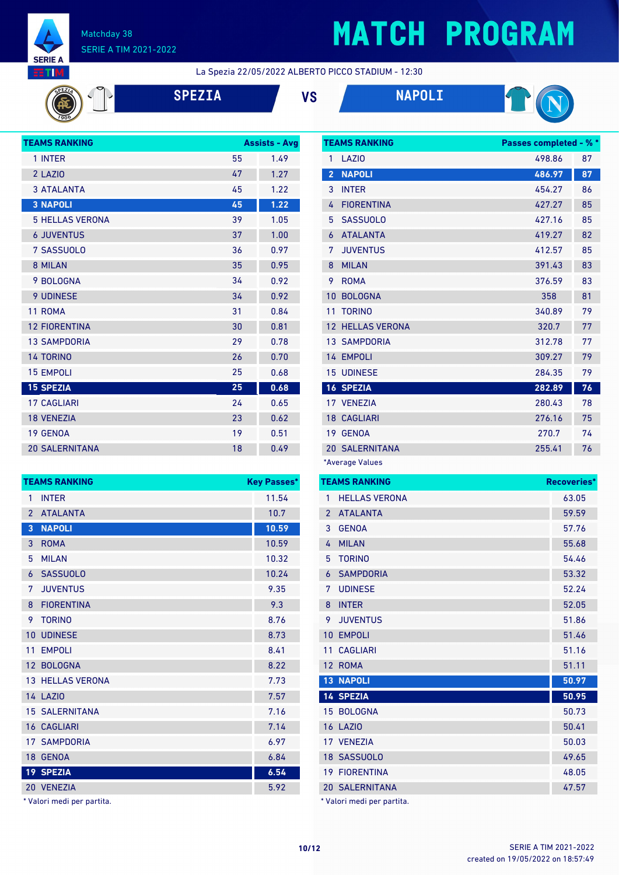

 $\sqrt{90}$ 

#### Matchday 38 SERIE A TIM 2021-2022

# **MATCH PROGRAM**

**TEAMS RANKING Passes completed - % \***

La Spezia 22/05/2022 ALBERTO PICCO STADIUM - 12:30

| <b>SPEZIA</b> |  |
|---------------|--|
|               |  |





| <b>TEAMS RANKING</b>   |    | <b>Assists - Avg</b> |
|------------------------|----|----------------------|
| 1 INTER                | 55 | 1.49                 |
| 2 LAZIO                | 47 | 1.27                 |
| <b>3 ATALANTA</b>      | 45 | 1.22                 |
| <b>3 NAPOLI</b>        | 45 | 1.22                 |
| <b>5 HELLAS VERONA</b> | 39 | 1.05                 |
| <b>6 JUVENTUS</b>      | 37 | 1.00                 |
| 7 SASSUOLO             | 36 | 0.97                 |
| 8 MILAN                | 35 | 0.95                 |
| 9 BOLOGNA              | 34 | 0.92                 |
| <b>9 UDINESE</b>       | 34 | 0.92                 |
| 11 ROMA                | 31 | 0.84                 |
| <b>12 FIORENTINA</b>   | 30 | 0.81                 |
| <b>13 SAMPDORIA</b>    | 29 | 0.78                 |
| <b>14 TORINO</b>       | 26 | 0.70                 |
| <b>15 EMPOLI</b>       | 25 | 0.68                 |
| <b>15 SPEZIA</b>       | 25 | 0.68                 |
| <b>17 CAGLIARI</b>     | 24 | 0.65                 |
| <b>18 VENEZIA</b>      | 23 | 0.62                 |
| 19 GENOA               | 19 | 0.51                 |
| <b>20 SALERNITANA</b>  | 18 | 0.49                 |

|                | <b>TEAMS RANKING</b>    | <b>Key Passes*</b> |
|----------------|-------------------------|--------------------|
| 1              | <b>INTER</b>            | 11.54              |
| $\mathfrak{p}$ | <b>ATALANTA</b>         | 10.7               |
| 3              | <b>NAPOLI</b>           | 10.59              |
| 3              | <b>ROMA</b>             | 10.59              |
| 5              | <b>MILAN</b>            | 10.32              |
| 6              | <b>SASSUOLO</b>         | 10.24              |
| 7              | <b>JUVENTUS</b>         | 9.35               |
| 8              | <b>FIORENTINA</b>       | 9.3                |
| 9              | <b>TORINO</b>           | 8.76               |
| 10             | <b>UDINESE</b>          | 8.73               |
| 11             | <b>EMPOLI</b>           | 8.41               |
|                | 12 BOLOGNA              | 8.22               |
|                | <b>13 HELLAS VERONA</b> | 7.73               |
|                | <b>14 LAZIO</b>         | 7.57               |
|                | <b>15 SALERNITANA</b>   | 7.16               |
|                | <b>16 CAGLIARI</b>      | 7.14               |
|                | <b>17 SAMPDORIA</b>     | 6.97               |
|                | 18 GENOA                | 6.84               |
|                | 19 SPEZIA               | 6.54               |
|                | 20 VENEZIA              | 5.92               |

\* Valori medi per partita.

| 1              | <b>LAZIO</b>            | 498.86 | 87 |
|----------------|-------------------------|--------|----|
| $\overline{2}$ | <b>NAPOLI</b>           | 486.97 | 87 |
| 3              | <b>INTER</b>            | 454.27 | 86 |
| 4              | <b>FIORENTINA</b>       | 427.27 | 85 |
| 5              | <b>SASSUOLO</b>         | 427.16 | 85 |
| 6              | <b>ATALANTA</b>         | 419.27 | 82 |
| 7              | <b>JUVENTUS</b>         | 412.57 | 85 |
| 8              | <b>MILAN</b>            | 391.43 | 83 |
| 9              | <b>ROMA</b>             | 376.59 | 83 |
| 10             | <b>BOLOGNA</b>          | 358    | 81 |
| 11             | <b>TORINO</b>           | 340.89 | 79 |
|                | <b>12 HELLAS VERONA</b> | 320.7  | 77 |
|                | <b>13 SAMPDORIA</b>     | 312.78 | 77 |
|                | 14 EMPOLI               | 309.27 | 79 |
|                | <b>15 UDINESE</b>       | 284.35 | 79 |
|                | <b>16 SPEZIA</b>        | 282.89 | 76 |
|                | 17 VENEZIA              | 280.43 | 78 |
|                | <b>18 CAGLIARI</b>      | 276.16 | 75 |
| 19             | <b>GENOA</b>            | 270.7  | 74 |
|                | <b>20 SALERNITANA</b>   | 255.41 | 76 |
|                | *Average Values         |        |    |

|                | <b>TEAMS RANKING</b>       | Recoveries* |
|----------------|----------------------------|-------------|
| 1              | <b>HELLAS VERONA</b>       | 63.05       |
| $\overline{2}$ | <b>ATALANTA</b>            | 59.59       |
| 3              | <b>GENOA</b>               | 57.76       |
| 4              | <b>MILAN</b>               | 55.68       |
| 5              | <b>TORINO</b>              | 54.46       |
| 6              | <b>SAMPDORIA</b>           | 53.32       |
| 7              | <b>UDINESE</b>             | 52.24       |
| 8              | <b>INTER</b>               | 52.05       |
| 9              | <b>JUVENTUS</b>            | 51.86       |
| 10             | <b>EMPOLI</b>              | 51.46       |
| 11             | <b>CAGLIARI</b>            | 51.16       |
| 12             | <b>ROMA</b>                | 51.11       |
| 13             | <b>NAPOLI</b>              | 50.97       |
|                | <b>14 SPEZIA</b>           | 50.95       |
|                | 15 BOLOGNA                 | 50.73       |
|                | <b>16 LAZIO</b>            | 50.41       |
|                | 17 VENEZIA                 | 50.03       |
|                | 18 SASSUOLO                | 49.65       |
|                | <b>19 FIORENTINA</b>       | 48.05       |
|                | <b>20 SALERNITANA</b>      | 47.57       |
|                | * Valori medi per partita. |             |

created on 19/05/2022 on 18:57:49 **10/12** SERIE A TIM 2021-2022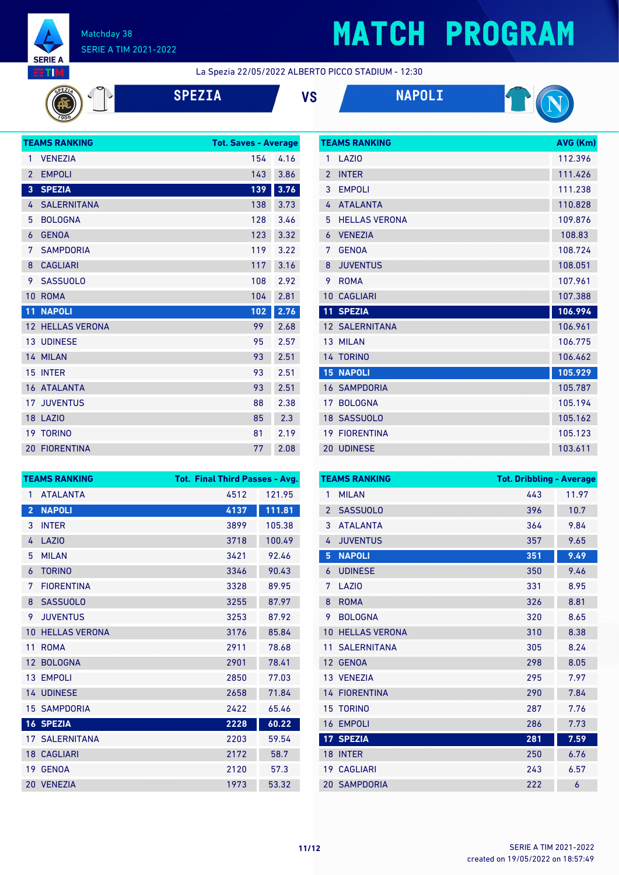

# **MATCH PROGRAM**

La Spezia 22/05/2022 ALBERTO PICCO STADIUM - 12:30

**SPEZIA VS NAPOLI**



|                 | <b>TEAMS RANKING</b>    | <b>Tot. Saves - Average</b> |      |
|-----------------|-------------------------|-----------------------------|------|
| 1               | <b>VENEZIA</b>          | 154                         | 4.16 |
| $\overline{2}$  | <b>EMPOLI</b>           | 143                         | 3.86 |
| 3               | <b>SPEZIA</b>           | 139                         | 3.76 |
| 4               | <b>SALERNITANA</b>      | 138                         | 3.73 |
| 5               | <b>BOLOGNA</b>          | 128                         | 3.46 |
| 6               | <b>GENOA</b>            | 123                         | 3.32 |
| 7               | <b>SAMPDORIA</b>        | 119                         | 3.22 |
| 8               | <b>CAGLIARI</b>         | 117                         | 3.16 |
| 9               | <b>SASSUOLO</b>         | 108                         | 2.92 |
| 10              | <b>ROMA</b>             | 104                         | 2.81 |
| 11              | <b>NAPOLI</b>           | 102                         | 2.76 |
|                 | <b>12 HELLAS VERONA</b> | 99                          | 2.68 |
|                 | <b>13 UDINESE</b>       | 95                          | 2.57 |
|                 | 14 MILAN                | 93                          | 2.51 |
| 15              | <b>INTER</b>            | 93                          | 2.51 |
|                 | 16 ATALANTA             | 93                          | 2.51 |
| 17 <sup>2</sup> | <b>JUVENTUS</b>         | 88                          | 2.38 |
|                 | 18 LAZIO                | 85                          | 2.3  |
|                 | <b>19 TORINO</b>        | 81                          | 2.19 |
|                 | <b>20 FIORENTINA</b>    | 77                          | 2.08 |

|                | <b>TEAMS RANKING</b>  | AVG (Km) |
|----------------|-----------------------|----------|
| 1              | LAZIO                 | 112.396  |
| $\overline{2}$ | <b>INTER</b>          | 111.426  |
| 3              | <b>EMPOLI</b>         | 111.238  |
| 4              | <b>ATALANTA</b>       | 110.828  |
| 5              | <b>HELLAS VERONA</b>  | 109.876  |
| 6              | <b>VENEZIA</b>        | 108.83   |
| 7              | <b>GENOA</b>          | 108.724  |
| 8              | <b>JUVENTUS</b>       | 108.051  |
| 9              | <b>ROMA</b>           | 107.961  |
| 10             | <b>CAGLIARI</b>       | 107.388  |
| 11             | <b>SPEZIA</b>         | 106.994  |
|                |                       |          |
|                | <b>12 SALERNITANA</b> | 106.961  |
|                | 13 MILAN              | 106.775  |
|                | 14 TORINO             | 106.462  |
|                | <b>15 NAPOLI</b>      | 105.929  |
|                | <b>16 SAMPDORIA</b>   | 105.787  |
| 17             | <b>BOLOGNA</b>        | 105.194  |
|                | 18 SASSUOLO           | 105.162  |
| 19             | <b>FIORENTINA</b>     | 105.123  |

| <b>TEAMS RANKING</b> |                       | <b>Tot. Final Third Passes - Avg.</b> |        |  |
|----------------------|-----------------------|---------------------------------------|--------|--|
| 1                    | <b>ATALANTA</b>       | 4512                                  | 121.95 |  |
| $\overline{2}$       | <b>NAPOLI</b>         | 4137                                  | 111.81 |  |
| 3                    | <b>INTER</b>          | 3899                                  | 105.38 |  |
| 4                    | <b>LAZIO</b>          | 3718                                  | 100.49 |  |
| 5                    | <b>MILAN</b>          | 3421                                  | 92.46  |  |
| 6                    | <b>TORINO</b>         | 3346                                  | 90.43  |  |
| 7                    | <b>FIORENTINA</b>     | 3328                                  | 89.95  |  |
| 8                    | <b>SASSUOLO</b>       | 3255                                  | 87.97  |  |
| 9                    | <b>JUVENTUS</b>       | 3253                                  | 87.92  |  |
| 10                   | <b>HELLAS VERONA</b>  | 3176                                  | 85.84  |  |
| 11                   | <b>ROMA</b>           | 2911                                  | 78.68  |  |
| 12 <sup>°</sup>      | <b>BOLOGNA</b>        | 2901                                  | 78.41  |  |
|                      | 13 EMPOLI             | 2850                                  | 77.03  |  |
|                      | 14 UDINESE            | 2658                                  | 71.84  |  |
|                      | <b>15 SAMPDORIA</b>   | 2422                                  | 65.46  |  |
|                      | <b>16 SPEZIA</b>      | 2228                                  | 60.22  |  |
|                      | <b>17 SALERNITANA</b> | 2203                                  | 59.54  |  |
|                      | <b>18 CAGLIARI</b>    | 2172                                  | 58.7   |  |
|                      | 19 GENOA              | 2120                                  | 57.3   |  |
| 20                   | <b>VENEZIA</b>        | 1973                                  | 53.32  |  |

| <b>TEAMS RANKING</b> |                      | <b>Tot. Dribbling - Average</b> |       |
|----------------------|----------------------|---------------------------------|-------|
| 1                    | <b>MILAN</b>         | 443                             | 11.97 |
| $\overline{2}$       | <b>SASSUOLO</b>      | 396                             | 10.7  |
| 3                    | <b>ATALANTA</b>      | 364                             | 9.84  |
| 4                    | <b>JUVENTUS</b>      | 357                             | 9.65  |
| 5                    | <b>NAPOLI</b>        | 351                             | 9.49  |
| 6                    | <b>UDINESE</b>       | 350                             | 9.46  |
| 7                    | LAZI <sub>0</sub>    | 331                             | 8.95  |
| 8                    | <b>ROMA</b>          | 326                             | 8.81  |
| 9                    | <b>BOLOGNA</b>       | 320                             | 8.65  |
| 10                   | <b>HELLAS VERONA</b> | 310                             | 8.38  |
| 11                   | <b>SALERNITANA</b>   | 305                             | 8.24  |
| 12                   | <b>GENOA</b>         | 298                             | 8.05  |
|                      | 13 VENEZIA           | 295                             | 7.97  |
|                      | <b>14 FIORENTINA</b> | 290                             | 7.84  |
| 15                   | <b>TORINO</b>        | 287                             | 7.76  |
| 16                   | <b>EMPOLI</b>        | 286                             | 7.73  |
|                      | 17 SPEZIA            | 281                             | 7.59  |
| 18                   | <b>INTER</b>         | 250                             | 6.76  |
| 19                   | <b>CAGLIARI</b>      | 243                             | 6.57  |
|                      | <b>20 SAMPDORIA</b>  | 222                             | 6     |